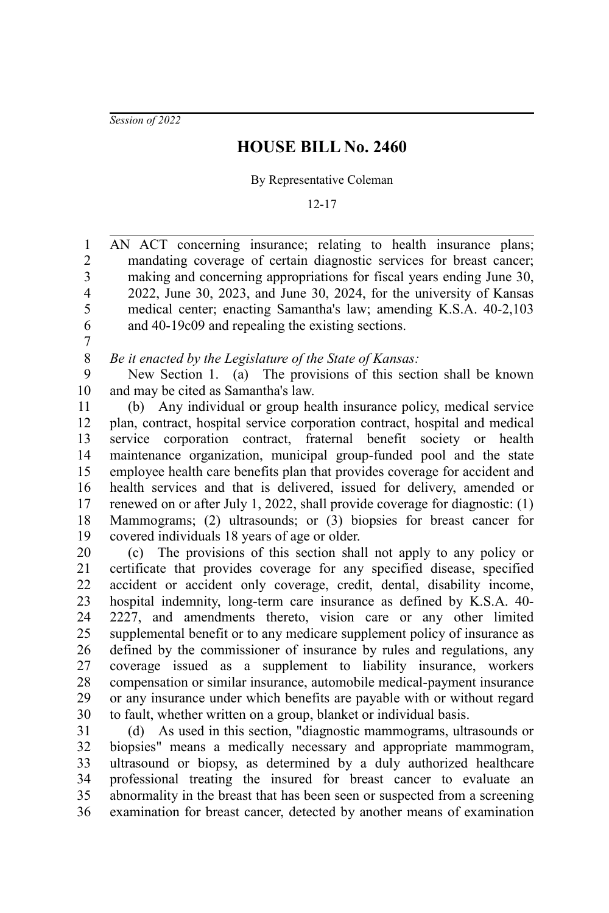*Session of 2022*

## **HOUSE BILL No. 2460**

## By Representative Coleman

## 12-17

AN ACT concerning insurance; relating to health insurance plans; mandating coverage of certain diagnostic services for breast cancer; making and concerning appropriations for fiscal years ending June 30, 2022, June 30, 2023, and June 30, 2024, for the university of Kansas medical center; enacting Samantha's law; amending K.S.A. 40-2,103 and 40-19c09 and repealing the existing sections. 1 2 3 4 5 6

7

*Be it enacted by the Legislature of the State of Kansas:* 8

New Section 1. (a) The provisions of this section shall be known and may be cited as Samantha's law. 9 10

(b) Any individual or group health insurance policy, medical service plan, contract, hospital service corporation contract, hospital and medical service corporation contract, fraternal benefit society or health maintenance organization, municipal group-funded pool and the state employee health care benefits plan that provides coverage for accident and health services and that is delivered, issued for delivery, amended or renewed on or after July 1, 2022, shall provide coverage for diagnostic: (1) Mammograms; (2) ultrasounds; or (3) biopsies for breast cancer for covered individuals 18 years of age or older. 11 12 13 14 15 16 17 18 19

(c) The provisions of this section shall not apply to any policy or certificate that provides coverage for any specified disease, specified accident or accident only coverage, credit, dental, disability income, hospital indemnity, long-term care insurance as defined by K.S.A. 40- 2227, and amendments thereto, vision care or any other limited supplemental benefit or to any medicare supplement policy of insurance as defined by the commissioner of insurance by rules and regulations, any coverage issued as a supplement to liability insurance, workers compensation or similar insurance, automobile medical-payment insurance or any insurance under which benefits are payable with or without regard to fault, whether written on a group, blanket or individual basis. 20 21 22 23 24 25 26 27 28 29 30

(d) As used in this section, "diagnostic mammograms, ultrasounds or biopsies" means a medically necessary and appropriate mammogram, ultrasound or biopsy, as determined by a duly authorized healthcare professional treating the insured for breast cancer to evaluate an abnormality in the breast that has been seen or suspected from a screening examination for breast cancer, detected by another means of examination 31 32 33 34 35 36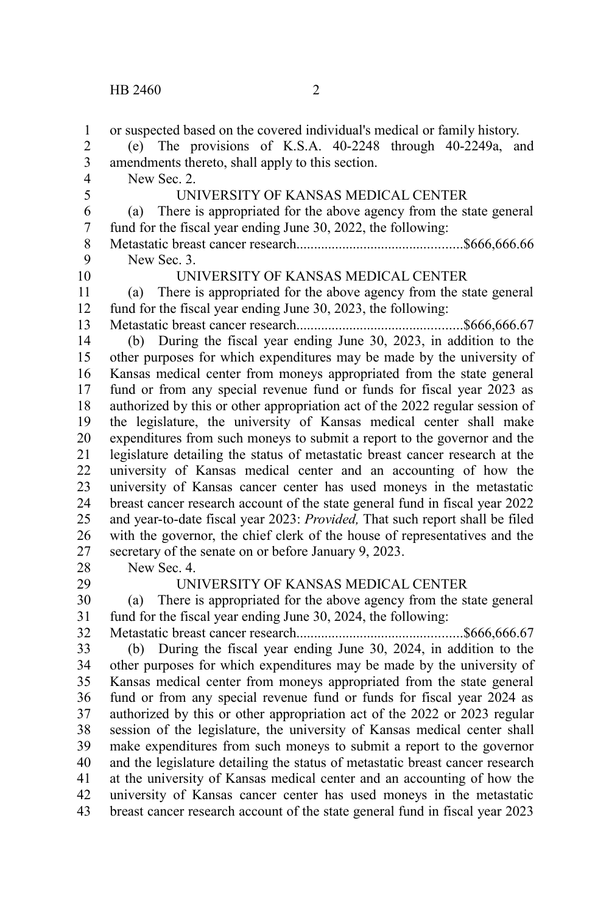| $\mathbf{1}$<br>$\overline{2}$            | or suspected based on the covered individual's medical or family history.<br>(e) The provisions of K.S.A. 40-2248 through 40-2249a, and |
|-------------------------------------------|-----------------------------------------------------------------------------------------------------------------------------------------|
| $\overline{\mathbf{3}}$<br>$\overline{4}$ | amendments thereto, shall apply to this section.<br>New Sec. 2.                                                                         |
| 5                                         | UNIVERSITY OF KANSAS MEDICAL CENTER                                                                                                     |
| 6                                         | There is appropriated for the above agency from the state general<br>(a)                                                                |
| $\overline{7}$                            | fund for the fiscal year ending June 30, 2022, the following:                                                                           |
| 8                                         |                                                                                                                                         |
| 9                                         | New Sec. 3.                                                                                                                             |
| 10                                        | UNIVERSITY OF KANSAS MEDICAL CENTER                                                                                                     |
| 11                                        | There is appropriated for the above agency from the state general<br>(a)                                                                |
| 12                                        | fund for the fiscal year ending June 30, 2023, the following:                                                                           |
| 13                                        |                                                                                                                                         |
| 14                                        | (b) During the fiscal year ending June 30, 2023, in addition to the                                                                     |
| 15                                        | other purposes for which expenditures may be made by the university of                                                                  |
| 16                                        | Kansas medical center from moneys appropriated from the state general                                                                   |
| 17                                        | fund or from any special revenue fund or funds for fiscal year 2023 as                                                                  |
| 18                                        | authorized by this or other appropriation act of the 2022 regular session of                                                            |
| 19                                        | the legislature, the university of Kansas medical center shall make                                                                     |
| 20                                        | expenditures from such moneys to submit a report to the governor and the                                                                |
| 21                                        | legislature detailing the status of metastatic breast cancer research at the                                                            |
| 22                                        | university of Kansas medical center and an accounting of how the                                                                        |
| 23                                        | university of Kansas cancer center has used moneys in the metastatic                                                                    |
| 24                                        | breast cancer research account of the state general fund in fiscal year 2022                                                            |
| 25                                        | and year-to-date fiscal year 2023: Provided, That such report shall be filed                                                            |
| 26                                        | with the governor, the chief clerk of the house of representatives and the                                                              |
| 27                                        | secretary of the senate on or before January 9, 2023.                                                                                   |
| 28                                        | New Sec. 4.                                                                                                                             |
| 29                                        | UNIVERSITY OF KANSAS MEDICAL CENTER                                                                                                     |
| 30                                        | There is appropriated for the above agency from the state general<br>(a)                                                                |
| 31                                        | fund for the fiscal year ending June 30, 2024, the following:                                                                           |
| 32                                        |                                                                                                                                         |
| 33                                        | During the fiscal year ending June 30, 2024, in addition to the<br>(b)                                                                  |
| 34                                        | other purposes for which expenditures may be made by the university of                                                                  |
| 35                                        | Kansas medical center from moneys appropriated from the state general                                                                   |
| 36                                        | fund or from any special revenue fund or funds for fiscal year 2024 as                                                                  |
| 37                                        | authorized by this or other appropriation act of the 2022 or 2023 regular                                                               |
| 38                                        | session of the legislature, the university of Kansas medical center shall                                                               |
| 39                                        | make expenditures from such moneys to submit a report to the governor                                                                   |
| 40                                        | and the legislature detailing the status of metastatic breast cancer research                                                           |
| 41                                        | at the university of Kansas medical center and an accounting of how the                                                                 |
| 42                                        | university of Kansas cancer center has used moneys in the metastatic                                                                    |
| 43                                        | breast cancer research account of the state general fund in fiscal year 2023                                                            |